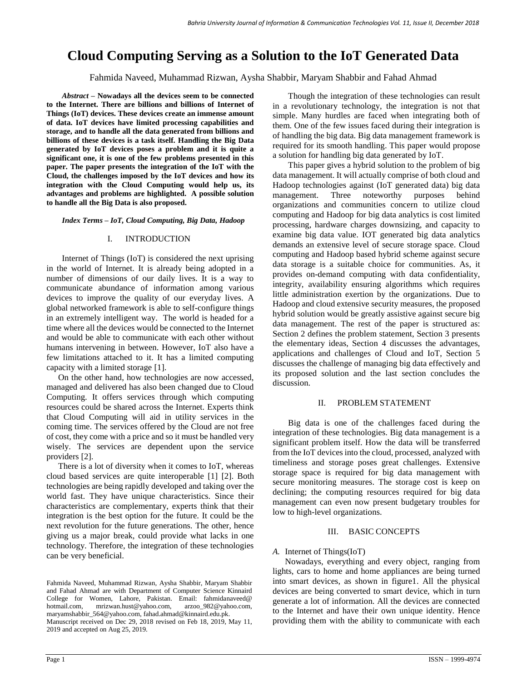# **Cloud Computing Serving as a Solution to the IoT Generated Data**

Fahmida Naveed, Muhammad Rizwan, Aysha Shabbir, Maryam Shabbir and Fahad Ahmad

*Abstract* **– Nowadays all the devices seem to be connected to the Internet. There are billions and billions of Internet of Things (IoT) devices. These devices create an immense amount of data. IoT devices have limited processing capabilities and storage, and to handle all the data generated from billions and billions of these devices is a task itself. Handling the Big Data generated by IoT devices poses a problem and it is quite a significant one, it is one of the few problems presented in this paper. The paper presents the integration of the IoT with the Cloud, the challenges imposed by the IoT devices and how its integration with the Cloud Computing would help us, its advantages and problems are highlighted. A possible solution to handle all the Big Data is also proposed.**

*Index Terms* **–** *IoT, Cloud Computing, Big Data, Hadoop*

#### I. INTRODUCTION

Internet of Things (IoT) is considered the next uprising in the world of Internet. It is already being adopted in a number of dimensions of our daily lives. It is a way to communicate abundance of information among various devices to improve the quality of our everyday lives. A global networked framework is able to self-configure things in an extremely intelligent way. The world is headed for a time where all the devices would be connected to the Internet and would be able to communicate with each other without humans intervening in between. However, IoT also have a few limitations attached to it. It has a limited computing capacity with a limited storage [1].

On the other hand, how technologies are now accessed, managed and delivered has also been changed due to Cloud Computing. It offers services through which computing resources could be shared across the Internet. Experts think that Cloud Computing will aid in utility services in the coming time. The services offered by the Cloud are not free of cost, they come with a price and so it must be handled very wisely. The services are dependent upon the service providers [2].

There is a lot of diversity when it comes to IoT, whereas cloud based services are quite interoperable [1] [2]. Both technologies are being rapidly developed and taking over the world fast. They have unique characteristics. Since their characteristics are complementary, experts think that their integration is the best option for the future. It could be the next revolution for the future generations. The other, hence giving us a major break, could provide what lacks in one technology. Therefore, the integration of these technologies can be very beneficial.

Though the integration of these technologies can result in a revolutionary technology, the integration is not that simple. Many hurdles are faced when integrating both of them. One of the few issues faced during their integration is of handling the big data. Big data management framework is required for its smooth handling. This paper would propose a solution for handling big data generated by IoT.

This paper gives a hybrid solution to the problem of big data management. It will actually comprise of both cloud and Hadoop technologies against (IoT generated data) big data management. Three noteworthy purposes behind organizations and communities concern to utilize cloud computing and Hadoop for big data analytics is cost limited processing, hardware charges downsizing, and capacity to examine big data value. IOT generated big data analytics demands an extensive level of secure storage space. Cloud computing and Hadoop based hybrid scheme against secure data storage is a suitable choice for communities. As, it provides on-demand computing with data confidentiality, integrity, availability ensuring algorithms which requires little administration exertion by the organizations. Due to Hadoop and cloud extensive security measures, the proposed hybrid solution would be greatly assistive against secure big data management. The rest of the paper is structured as: Section 2 defines the problem statement, Section 3 presents the elementary ideas, Section 4 discusses the advantages, applications and challenges of Cloud and IoT, Section 5 discusses the challenge of managing big data effectively and its proposed solution and the last section concludes the discussion.

#### II. PROBLEM STATEMENT

Big data is one of the challenges faced during the integration of these technologies. Big data management is a significant problem itself. How the data will be transferred from the IoT devices into the cloud, processed, analyzed with timeliness and storage poses great challenges. Extensive storage space is required for big data management with secure monitoring measures. The storage cost is keep on declining; the computing resources required for big data management can even now present budgetary troubles for low to high-level organizations.

#### III. BASIC CONCEPTS

## *A.* Internet of Things(IoT)

Nowadays, everything and every object, ranging from lights, cars to home and home appliances are being turned into smart devices, as shown in figure1. All the physical devices are being converted to smart device, which in turn generate a lot of information. All the devices are connected to the Internet and have their own unique identity. Hence providing them with the ability to communicate with each

Fahmida Naveed, Muhammad Rizwan, Aysha Shabbir, Maryam Shabbir and Fahad Ahmad are with Department of Computer Science Kinnaird College for Women, Lahore, Pakistan. Email: fahmidanaveed@ hotmail.com, mrizwan.hust@yahoo.com, arzoo\_982@yahoo.com, [maryamshabbir\\_564@yahoo.com,](mailto:maryamshabbir_564@yahoo.com) fahad.ahmad@kinnaird.edu.pk. Manuscript received on Dec 29, 2018 revised on Feb 18, 2019, May 11, 2019 and accepted on Aug 25, 2019.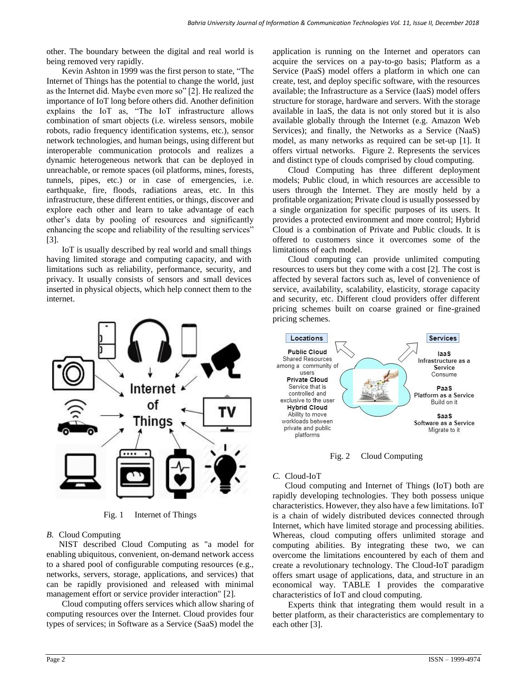other. The boundary between the digital and real world is being removed very rapidly.

Kevin Ashton in 1999 was the first person to state, "The Internet of Things has the potential to change the world, just as the Internet did. Maybe even more so" [2]. He realized the importance of IoT long before others did. Another definition explains the IoT as, "The IoT infrastructure allows combination of smart objects (i.e. wireless sensors, mobile robots, radio frequency identification systems, etc.), sensor network technologies, and human beings, using different but interoperable communication protocols and realizes a dynamic heterogeneous network that can be deployed in unreachable, or remote spaces (oil platforms, mines, forests, tunnels, pipes, etc.) or in case of emergencies, i.e. earthquake, fire, floods, radiations areas, etc. In this infrastructure, these different entities, or things, discover and explore each other and learn to take advantage of each other's data by pooling of resources and significantly enhancing the scope and reliability of the resulting services" [3].

IoT is usually described by real world and small things having limited storage and computing capacity, and with limitations such as reliability, performance, security, and privacy. It usually consists of sensors and small devices inserted in physical objects, which help connect them to the internet.



Fig. 1 Internet of Things

## *B.* Cloud Computing

NIST described Cloud Computing as "a model for enabling ubiquitous, convenient, on-demand network access to a shared pool of configurable computing resources (e.g., networks, servers, storage, applications, and services) that can be rapidly provisioned and released with minimal management effort or service provider interaction" [2].

Cloud computing offers services which allow sharing of computing resources over the Internet. Cloud provides four types of services; in Software as a Service (SaaS) model the

application is running on the Internet and operators can acquire the services on a pay-to-go basis; Platform as a Service (PaaS) model offers a platform in which one can create, test, and deploy specific software, with the resources available; the Infrastructure as a Service (IaaS) model offers structure for storage, hardware and servers. With the storage available in IaaS, the data is not only stored but it is also available globally through the Internet (e.g. Amazon Web Services); and finally, the Networks as a Service (NaaS) model, as many networks as required can be set-up [1]. It offers virtual networks. Figure 2. Represents the services and distinct type of clouds comprised by cloud computing.

Cloud Computing has three different deployment models; Public cloud, in which resources are accessible to users through the Internet. They are mostly held by a profitable organization; Private cloud is usually possessed by a single organization for specific purposes of its users. It provides a protected environment and more control; Hybrid Cloud is a combination of Private and Public clouds. It is offered to customers since it overcomes some of the limitations of each model.

Cloud computing can provide unlimited computing resources to users but they come with a cost [2]. The cost is affected by several factors such as, level of convenience of service, availability, scalability, elasticity, storage capacity and security, etc. Different cloud providers offer different pricing schemes built on coarse grained or fine-grained pricing schemes.



Fig. 2 Cloud Computing

## *C.* Cloud-IoT

Cloud computing and Internet of Things (IoT) both are rapidly developing technologies. They both possess unique characteristics. However, they also have a few limitations. IoT is a chain of widely distributed devices connected through Internet, which have limited storage and processing abilities. Whereas, cloud computing offers unlimited storage and computing abilities. By integrating these two, we can overcome the limitations encountered by each of them and create a revolutionary technology. The Cloud-IoT paradigm offers smart usage of applications, data, and structure in an economical way. TABLE I provides the comparative characteristics of IoT and cloud computing.

Experts think that integrating them would result in a better platform, as their characteristics are complementary to each other [3].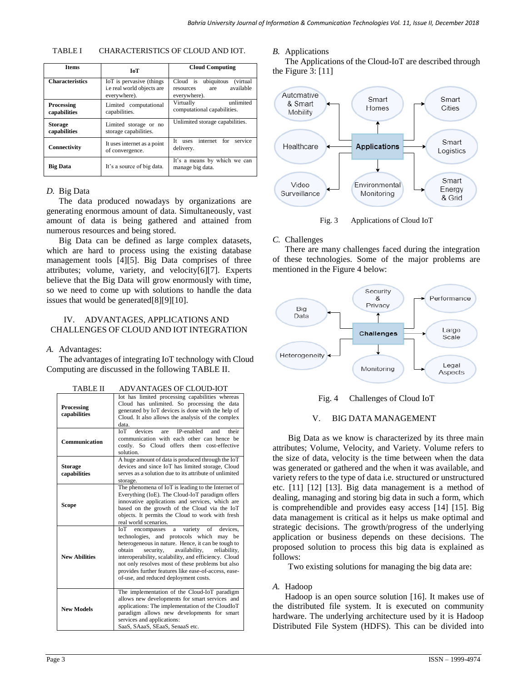| Items                             | <b>IoT</b>                                                             | <b>Cloud Computing</b>                                                                      |
|-----------------------------------|------------------------------------------------------------------------|---------------------------------------------------------------------------------------------|
| <b>Characteristics</b>            | IoT is pervasive (things<br>i.e real world objects are<br>everywhere). | Cloud is<br>ubiquitous<br><i>(virtual)</i><br>available<br>resources<br>are<br>everywhere). |
| <b>Processing</b><br>capabilities | Limited computational<br>capabilities.                                 | unlimited<br>Virtually<br>computational capabilities.                                       |
| <b>Storage</b><br>capabilities    | Limited storage or no<br>storage capabilities.                         | Unlimited storage capabilities.                                                             |
| Connectivity                      | It uses internet as a point<br>of convergence.                         | internet for<br>Tt.<br>service<br><i>uses</i><br>delivery.                                  |
| <b>Big Data</b>                   | It's a source of big data.                                             | It's a means by which we can<br>manage big data.                                            |

## *D.* Big Data

The data produced nowadays by organizations are generating enormous amount of data. Simultaneously, vast amount of data is being gathered and attained from numerous resources and being stored.

Big Data can be defined as large complex datasets, which are hard to process using the existing database management tools [4][5]. Big Data comprises of three attributes; volume, variety, and velocity[6][7]. Experts believe that the Big Data will grow enormously with time, so we need to come up with solutions to handle the data issues that would be generated[8][9][10].

## IV. ADVANTAGES, APPLICATIONS AND CHALLENGES OF CLOUD AND IOT INTEGRATION

#### *A.* Advantages:

The advantages of integrating IoT technology with Cloud Computing are discussed in the following TABLE II.

| I ADLE II                      | AD VAINTAULS UP CLUUD-IUT                                                                                                                                                                                                                                                                                                                                                                                                   |  |
|--------------------------------|-----------------------------------------------------------------------------------------------------------------------------------------------------------------------------------------------------------------------------------------------------------------------------------------------------------------------------------------------------------------------------------------------------------------------------|--|
| Processing<br>capabilities     | Iot has limited processing capabilities whereas<br>Cloud has unlimited. So processing the data<br>generated by IoT devices is done with the help of<br>Cloud. It also allows the analysis of the complex<br>data.                                                                                                                                                                                                           |  |
| Communication                  | <b>Tol</b><br>devices<br>IP-enabled<br>their<br>are<br>and<br>communication with each other can hence be<br>costly. So Cloud offers them cost-effective<br>solution.                                                                                                                                                                                                                                                        |  |
| <b>Storage</b><br>capabilities | A huge amount of data is produced through the IoT<br>devices and since IoT has limited storage, Cloud<br>serves as a solution due to its attribute of unlimited<br>storage.                                                                                                                                                                                                                                                 |  |
| Scope                          | The phenomena of IoT is leading to the Internet of<br>Everything (IoE). The Cloud-IoT paradigm offers<br>innovative applications and services, which are<br>based on the growth of the Cloud via the IoT<br>objects. It permits the Cloud to work with fresh<br>real world scenarios.                                                                                                                                       |  |
| <b>New Abilities</b>           | ЮГ<br>variety<br>of<br>devices.<br>encompasses<br>a<br>technologies, and protocols which may be<br>heterogeneous in nature. Hence, it can be tough to<br>obtain<br>availability,<br>reliability.<br>security,<br>interoperability, scalability, and efficiency. Cloud<br>not only resolves most of these problems but also<br>provides further features like ease-of-access, ease-<br>of-use, and reduced deployment costs. |  |
| <b>New Models</b>              | The implementation of the Cloud-IoT paradigm<br>allows new developments for smart services and<br>applications: The implementation of the CloudIoT<br>paradigm allows new developments for smart<br>services and applications:<br>SaaS, SAaaS, SEaaS, SenaaS etc.                                                                                                                                                           |  |

TABLE II ADVANTAGES OF CLOUD-IOT

#### *B.* Applications

The Applications of the Cloud-IoT are described through the Figure 3: [11]



## Fig. 3 Applications of Cloud IoT

## *C.* Challenges

There are many challenges faced during the integration of these technologies. Some of the major problems are mentioned in the Figure 4 below:



#### Fig. 4 Challenges of Cloud IoT

#### V. BIG DATA MANAGEMENT

Big Data as we know is characterized by its three main attributes; Volume, Velocity, and Variety. Volume refers to the size of data, velocity is the time between when the data was generated or gathered and the when it was available, and variety refers to the type of data i.e. structured or unstructured etc. [11] [12] [13]. Big data management is a method of dealing, managing and storing big data in such a form, which is comprehendible and provides easy access [14] [15]. Big data management is critical as it helps us make optimal and strategic decisions. The growth/progress of the underlying application or business depends on these decisions. The proposed solution to process this big data is explained as follows:

Two existing solutions for managing the big data are:

#### *A.* Hadoop

Hadoop is an open source solution [16]. It makes use of the distributed file system. It is executed on community hardware. The underlying architecture used by it is Hadoop Distributed File System (HDFS). This can be divided into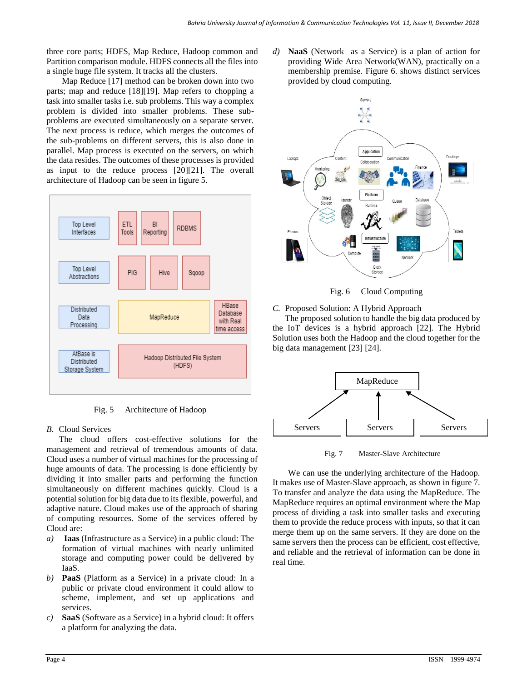three core parts; HDFS, Map Reduce, Hadoop common and Partition comparison module. HDFS connects all the files into a single huge file system. It tracks all the clusters.

Map Reduce [17] method can be broken down into two parts; map and reduce [18][19]. Map refers to chopping a task into smaller tasks i.e. sub problems. This way a complex problem is divided into smaller problems. These subproblems are executed simultaneously on a separate server. The next process is reduce, which merges the outcomes of the sub-problems on different servers, this is also done in parallel. Map process is executed on the servers, on which the data resides. The outcomes of these processes is provided as input to the reduce process [20][21]. The overall architecture of Hadoop can be seen in figure 5.



Fig. 5 Architecture of Hadoop

# *B.* Cloud Services

The cloud offers cost-effective solutions for the management and retrieval of tremendous amounts of data. Cloud uses a number of virtual machines for the processing of huge amounts of data. The processing is done efficiently by dividing it into smaller parts and performing the function simultaneously on different machines quickly. Cloud is a potential solution for big data due to its flexible, powerful, and adaptive nature. Cloud makes use of the approach of sharing of computing resources. Some of the services offered by Cloud are:

- *a)* **Iaas** (Infrastructure as a Service) in a public cloud: The formation of virtual machines with nearly unlimited storage and computing power could be delivered by IaaS.
- *b)* **PaaS** (Platform as a Service) in a private cloud: In a public or private cloud environment it could allow to scheme, implement, and set up applications and services.
- *c)* **SaaS** (Software as a Service) in a hybrid cloud: It offers a platform for analyzing the data.

*d)* **NaaS** (Network as a Service) is a plan of action for providing Wide Area Network(WAN), practically on a membership premise. Figure 6. shows distinct services provided by cloud computing.





*C.* Proposed Solution: A Hybrid Approach

The proposed solution to handle the big data produced by the IoT devices is a hybrid approach [22]. The Hybrid Solution uses both the Hadoop and the cloud together for the big data management [23] [24].



Fig. 7 Master-Slave Architecture

We can use the underlying architecture of the Hadoop. It makes use of Master-Slave approach, as shown in figure 7. To transfer and analyze the data using the MapReduce. The MapReduce requires an optimal environment where the Map process of dividing a task into smaller tasks and executing them to provide the reduce process with inputs, so that it can merge them up on the same servers. If they are done on the same servers then the process can be efficient, cost effective, and reliable and the retrieval of information can be done in real time.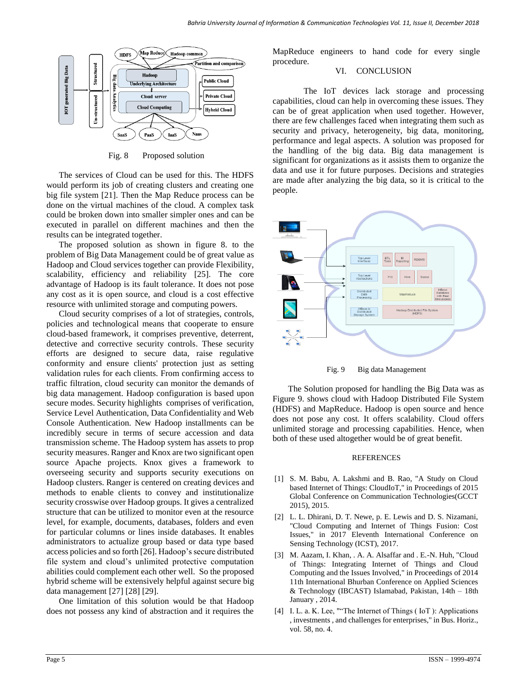

Fig. 8 Proposed solution

The services of Cloud can be used for this. The HDFS would perform its job of creating clusters and creating one big file system [21]. Then the Map Reduce process can be done on the virtual machines of the cloud. A complex task could be broken down into smaller simpler ones and can be executed in parallel on different machines and then the results can be integrated together.

The proposed solution as shown in figure 8. to the problem of Big Data Management could be of great value as Hadoop and Cloud services together can provide Flexibility, scalability, efficiency and reliability [25]. The core advantage of Hadoop is its fault tolerance. It does not pose any cost as it is open source, and cloud is a cost effective resource with unlimited storage and computing powers.

Cloud security comprises of a lot of strategies, controls, policies and technological means that cooperate to ensure cloud-based framework, it comprises preventive, deterrent, detective and corrective security controls. These security efforts are designed to secure data, raise regulative conformity and ensure clients' protection just as setting validation rules for each clients. From confirming access to traffic filtration, cloud security can monitor the demands of big data management. Hadoop configuration is based upon secure modes. Security highlights comprises of verification, Service Level Authentication, Data Confidentiality and Web Console Authentication. New Hadoop installments can be incredibly secure in terms of secure accession and data transmission scheme. The Hadoop system has assets to prop security measures. Ranger and Knox are two significant open source Apache projects. Knox gives a framework to overseeing security and supports security executions on Hadoop clusters. Ranger is centered on creating devices and methods to enable clients to convey and institutionalize security crosswise over Hadoop groups. It gives a centralized structure that can be utilized to monitor even at the resource level, for example, documents, databases, folders and even for particular columns or lines inside databases. It enables administrators to actualize group based or data type based access policies and so forth [26]. Hadoop's secure distributed file system and cloud's unlimited protective computation abilities could complement each other well. So the proposed hybrid scheme will be extensively helpful against secure big data management [27] [28] [29].

One limitation of this solution would be that Hadoop does not possess any kind of abstraction and it requires the

MapReduce engineers to hand code for every single procedure.

## VI. CONCLUSION

The IoT devices lack storage and processing capabilities, cloud can help in overcoming these issues. They can be of great application when used together. However, there are few challenges faced when integrating them such as security and privacy, heterogeneity, big data, monitoring, performance and legal aspects. A solution was proposed for the handling of the big data. Big data management is significant for organizations as it assists them to organize the data and use it for future purposes. Decisions and strategies are made after analyzing the big data, so it is critical to the people.



Fig. 9 Big data Management

The Solution proposed for handling the Big Data was as Figure 9. shows cloud with Hadoop Distributed File System (HDFS) and MapReduce. Hadoop is open source and hence does not pose any cost. It offers scalability. Cloud offers unlimited storage and processing capabilities. Hence, when both of these used altogether would be of great benefit.

#### REFERENCES

- [1] S. M. Babu, A. Lakshmi and B. Rao, "A Study on Cloud based Internet of Things: CloudIoT," in Proceedings of 2015 Global Conference on Communication Technologies(GCCT 2015), 2015.
- [2] L. L. Dhirani, D. T. Newe, p. E. Lewis and D. S. Nizamani, "Cloud Computing and Internet of Things Fusion: Cost Issues," in 2017 Eleventh International Conference on Sensing Technology (ICST), 2017.
- [3] M. Aazam, I. Khan, . A. A. Alsaffar and . E.-N. Huh, "Cloud of Things: Integrating Internet of Things and Cloud Computing and the Issues Involved," in Proceedings of 2014 11th International Bhurban Conference on Applied Sciences & Technology (IBCAST) Islamabad, Pakistan, 14th – 18th January , 2014.
- [4] I. L. a. K. Lee, ""The Internet of Things (IoT): Applications , investments , and challenges for enterprises," in Bus. Horiz., vol. 58, no. 4.